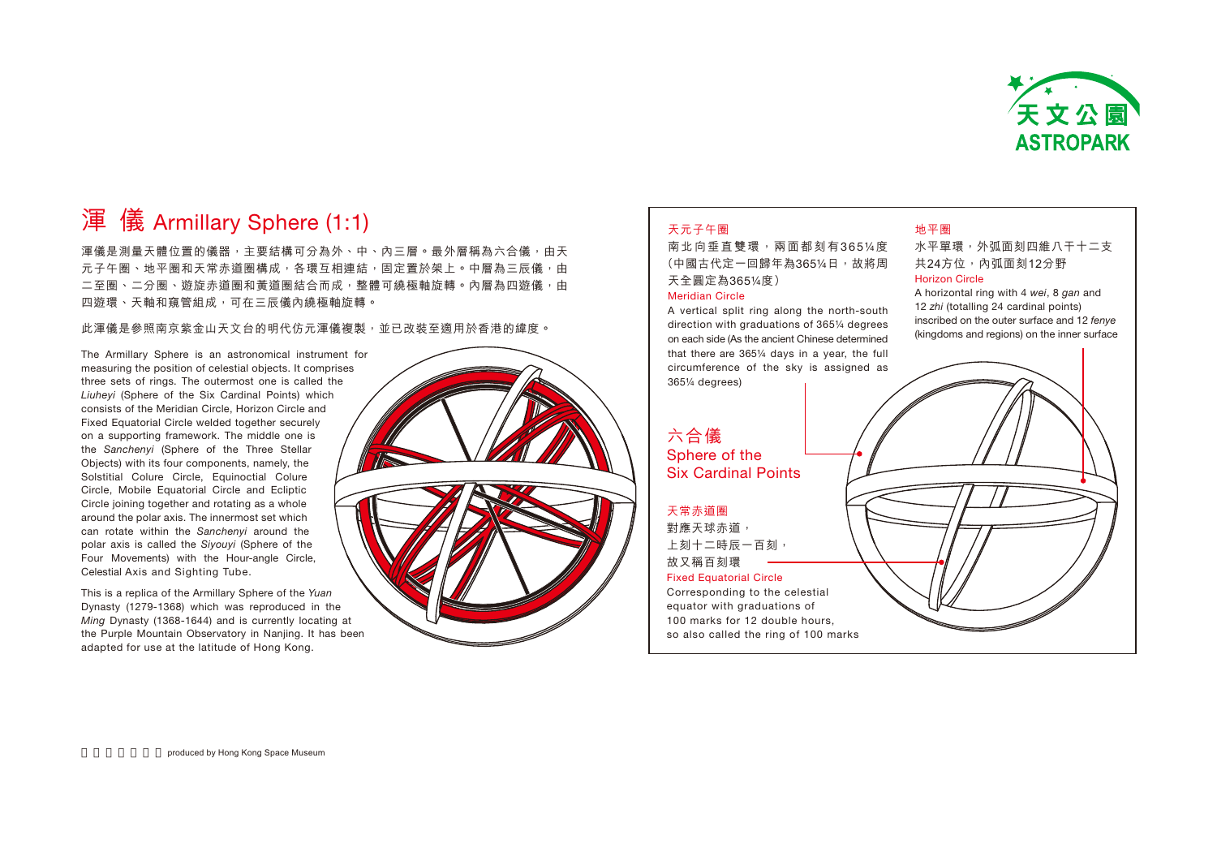

# 渾儀 Armillary Sphere (1:1)

渾儀是測量天體位置的儀器,主要結構可分為外、中、內三層。最外層稱為六合儀,由天 元子午圈、地平圈和天常赤道圈構成,各環互相連結,固定置於架上。中層為三辰儀,由 二至圈、二分圈、遊旋赤道圈和黃道圈結合而成,整體可繞極軸旋轉。內層為四遊儀,由 四遊環、天軸和窺管組成,可在三辰儀內繞極軸旋轉。

此運儀是參照南京紫金山天文台的明代仿元運儀複製,並已改裝至滴用於香港的緯度。

The Armillary Sphere is an astronomical instrument for measuring the position of celestial objects. It comprises three sets of rings. The outermost one is called the Liuheyi (Sphere of the Six Cardinal Points) which consists of the Meridian Circle, Horizon Circle and Fixed Equatorial Circle welded together securely on a supporting framework. The middle one is the Sanchenyi (Sphere of the Three Stellar Objects) with its four components, namely, the Solstitial Colure Circle, Equinoctial Colure Circle, Mobile Equatorial Circle and Ecliptic Circle joining together and rotating as a whole around the polar axis. The innermost set which can rotate within the Sanchenyi around the polar axis is called the Siyouyi (Sphere of the Four Movements) with the Hour-angle Circle, Celestial Axis and Sighting Tube.

This is a replica of the Armillary Sphere of the Yuan Dynasty (1279-1368) which was reproduced in the Ming Dynasty (1368-1644) and is currently locating at the Purple Mountain Observatory in Nanjing. It has been adapted for use at the latitude of Hong Kong.



#### 天元子午圈

南北向垂直雙環,兩面都刻有365¼度 (中國古代定一回歸年為365¼日,故將周 天全圓定為365¼度)

#### Meridian Circle

A vertical split ring along the north-south direction with graduations of 365¼ degrees on each side (As the ancient Chinese determined that there are 365¼ days in a year, the full circumference of the sky is assigned as 365¼ degrees)

## 六合儀 Sphere of the

Six Cardinal Points

#### 天常赤道圈

對應天球赤道, 上刻十二時辰一百刻, 故又稱百刻環

#### Fixed Equatorial Circle

Corresponding to the celestial equator with graduations of 100 marks for 12 double hours, so also called the ring of 100 marks

### 地平圈

水平單環,外弧面刻四維八干十二支 共24方位,內弧面刻12分野 Horizon Circle

A horizontal ring with 4 wei, 8 gan and 12 zhi (totalling 24 cardinal points) inscribed on the outer surface and 12 fenye (kingdoms and regions) on the inner surface

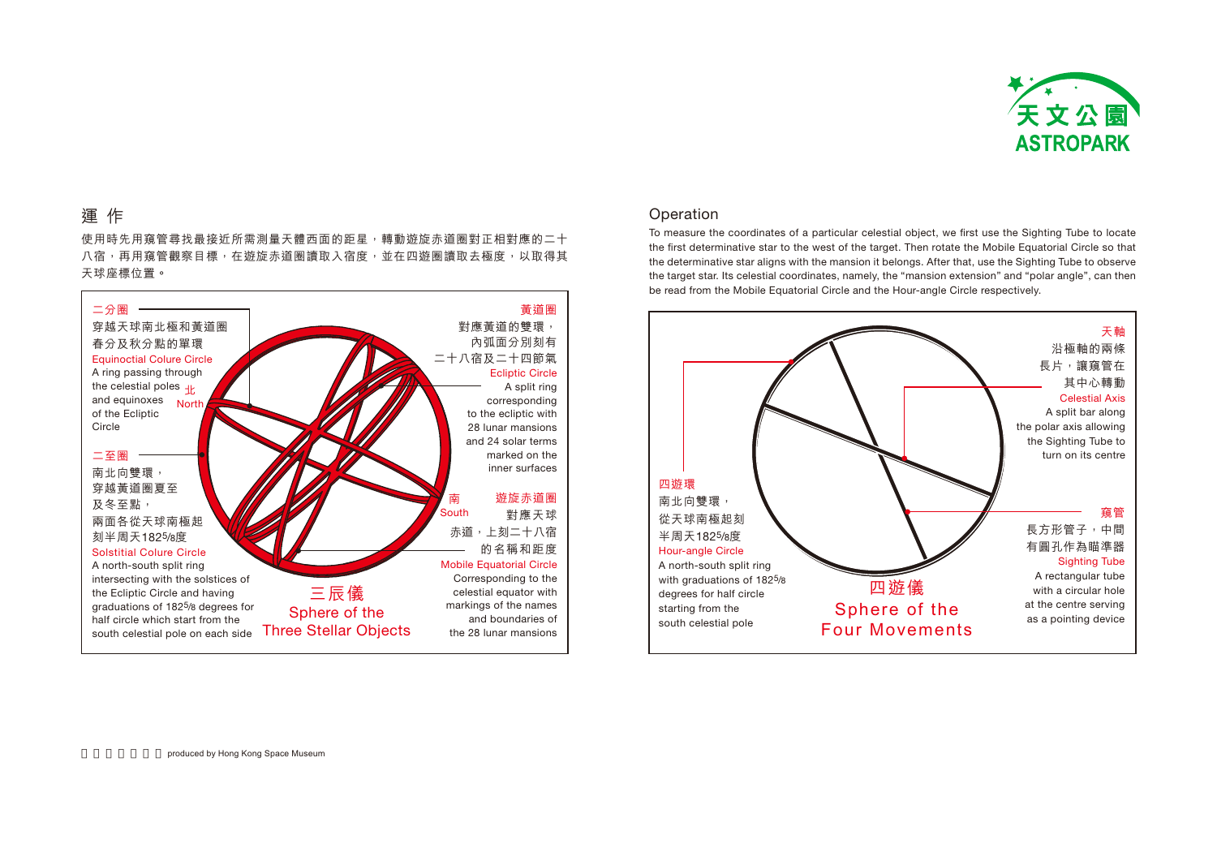

# 運作

使用時先用窺管尋找最接近所需測量天體西面的距星,轉動遊旋赤道圈對正相對應的二十 八宿,再用窺管觀察目標,在遊旋赤道圏讀取入宿度,並在四遊圏讀取去極度,以取得其 天球座標位置。



## Operation

To measure the coordinates of a particular celestial object, we first use the Sighting Tube to locate the first determinative star to the west of the target. Then rotate the Mobile Equatorial Circle so that the determinative star aligns with the mansion it belongs. After that, use the Sighting Tube to observe the target star. Its celestial coordinates, namely, the "mansion extension" and "polar angle", can then be read from the Mobile Equatorial Circle and the Hour-angle Circle respectively.

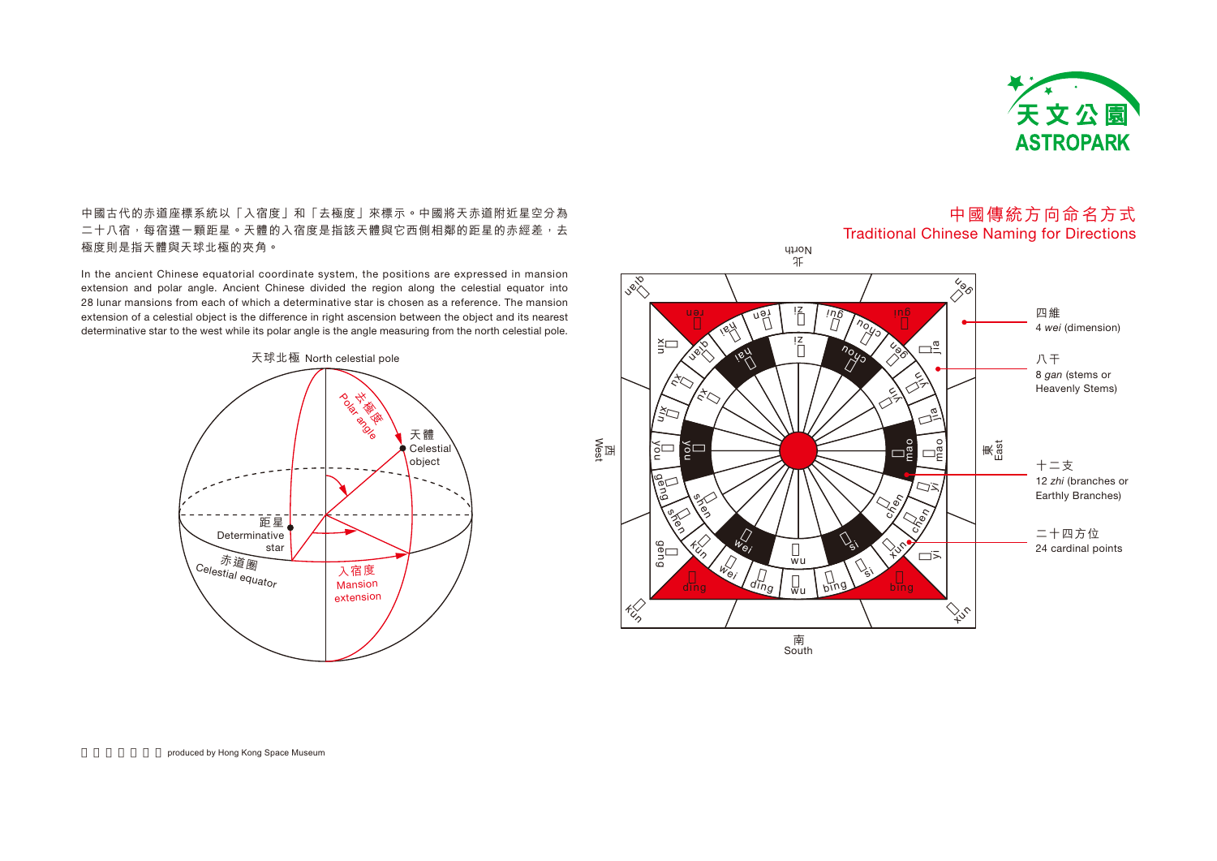

中國古代的赤道座標系統以「入宿度」和「去極度」來標示。中國將天赤道附近星空分為 二十八宿,每宿選一顆距星。天體的入宿度是指該天體與它西側相鄰的距星的赤經差,去 極度則是指天體與天球北極的夾角。

In the ancient Chinese equatorial coordinate system, the positions are expressed in mansion extension and polar angle. Ancient Chinese divided the region along the celestial equator into 28 lunar mansions from each of which a determinative star is chosen as a reference. The mansion extension of a celestial object is the difference in right ascension between the object and its nearest determinative star to the west while its polar angle is the angle measuring from the north celestial pole.



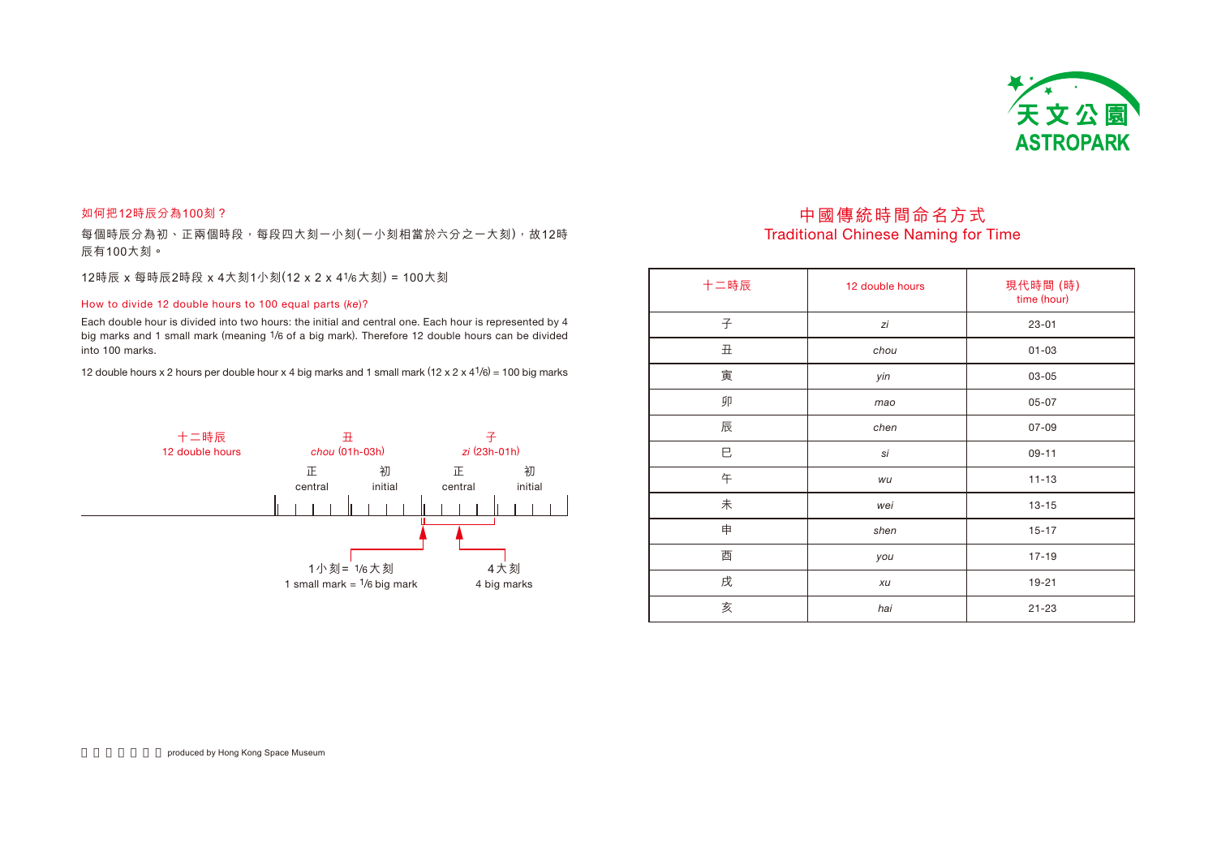

### 如何把12時辰分為100刻?

每個時辰分為初、正兩個時段,每段四大刻一小刻(一小刻相當於六分之一大刻),故12時 辰有100大刻。

12時辰 x 每時辰2時段 x 4大刻1小刻(12 x 2 x 41/6大刻) = 100大刻

#### How to divide 12 double hours to 100 equal parts (ke)?

Each double hour is divided into two hours: the initial and central one. Each hour is represented by 4 big marks and 1 small mark (meaning 1/6 of a big mark). Therefore 12 double hours can be divided into 100 marks.

12 double hours x 2 hours per double hour x 4 big marks and 1 small mark  $(12 \times 2 \times 41/6) = 100$  big marks



## 中國傳統時間命名方式 **Traditional Chinese Naming for Time**

| 十二時辰      | 12 double hours | 現代時間 (時)<br>time (hour) |  |
|-----------|-----------------|-------------------------|--|
| 子         | zi              | $23 - 01$               |  |
| $\rm \pm$ | chou            | $01 - 03$               |  |
| 寅         | yin             | 03-05                   |  |
| 卯         | mao             | $05 - 07$               |  |
| 辰         | chen            | $07 - 09$               |  |
| Е         | si              | $09 - 11$               |  |
| 午         | wu              | $11 - 13$               |  |
| 未         | wei             | $13 - 15$               |  |
| 申         | shen            | $15 - 17$               |  |
| 酉         | you             | $17 - 19$               |  |
| 戌         | xu              | $19 - 21$               |  |
| 亥         | hai             | $21 - 23$               |  |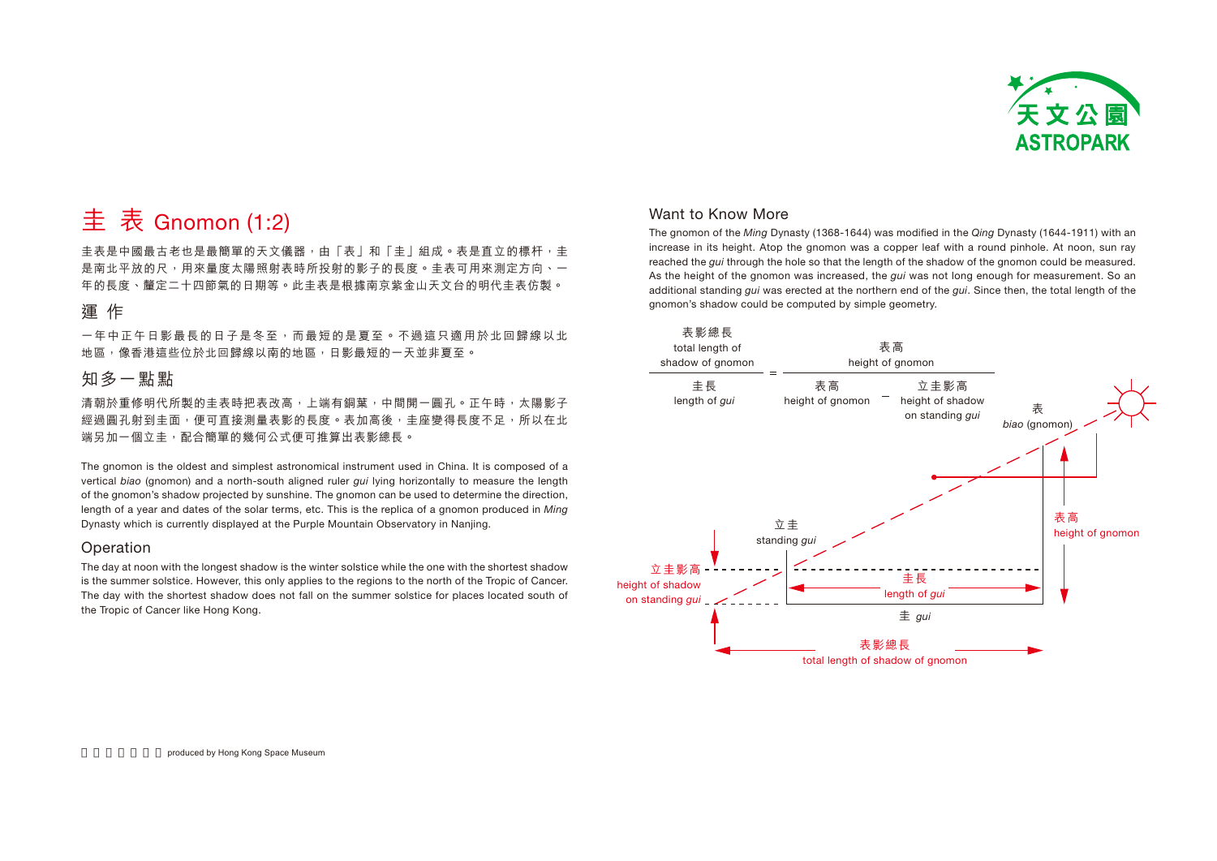

# 主 表 Gnomon (1:2)

圭表是中國最古老也是最簡單的天文儀器,由「表」和「圭」組成。表是直立的標杆,圭 是南北平放的尺,用來量度太陽照射表時所投射的影子的長度。圭表可用來測定方向、一 年的長度、釐定二十四節氣的日期等。此圭表是根據南京紫金山天文台的明代圭表仿製。

# 運作

一年中正午日影最長的日子是冬至,而最短的是夏至。不過這只適用於北回歸線以北 地區,像香港這些位於北回歸線以南的地區,日影最短的一天並非夏至。

# 知多一點點

清朝於重修明代所製的圭表時把表改高,上端有銅葉,中間開一圓孔。正午時,太陽影子 經過圓孔射到圭面,便可直接測量表影的長度。表加高後,圭座變得長度不足,所以在北 端另加一個立圭,配合簡單的幾何公式便可推算出表影總長。

The gnomon is the oldest and simplest astronomical instrument used in China. It is composed of a vertical biao (gnomon) and a north-south aligned ruler *qui* lying horizontally to measure the length of the gnomon's shadow projected by sunshine. The gnomon can be used to determine the direction, length of a year and dates of the solar terms, etc. This is the replica of a gnomon produced in Ming Dynasty which is currently displayed at the Purple Mountain Observatory in Nanjing.

### Operation

The day at noon with the longest shadow is the winter solstice while the one with the shortest shadow is the summer solstice. However, this only applies to the regions to the north of the Tropic of Cancer. The day with the shortest shadow does not fall on the summer solstice for places located south of the Tropic of Cancer like Hong Kong.

## Want to Know More

The gnomon of the Ming Dynasty (1368-1644) was modified in the Qing Dynasty (1644-1911) with an increase in its height. Atop the gnomon was a copper leaf with a round pinhole. At noon, sun ray reached the *qui* through the hole so that the length of the shadow of the gnomon could be measured. As the height of the gnomon was increased, the *qui* was not long enough for measurement. So an additional standing *qui* was erected at the northern end of the *qui*. Since then, the total length of the gnomon's shadow could be computed by simple geometry.

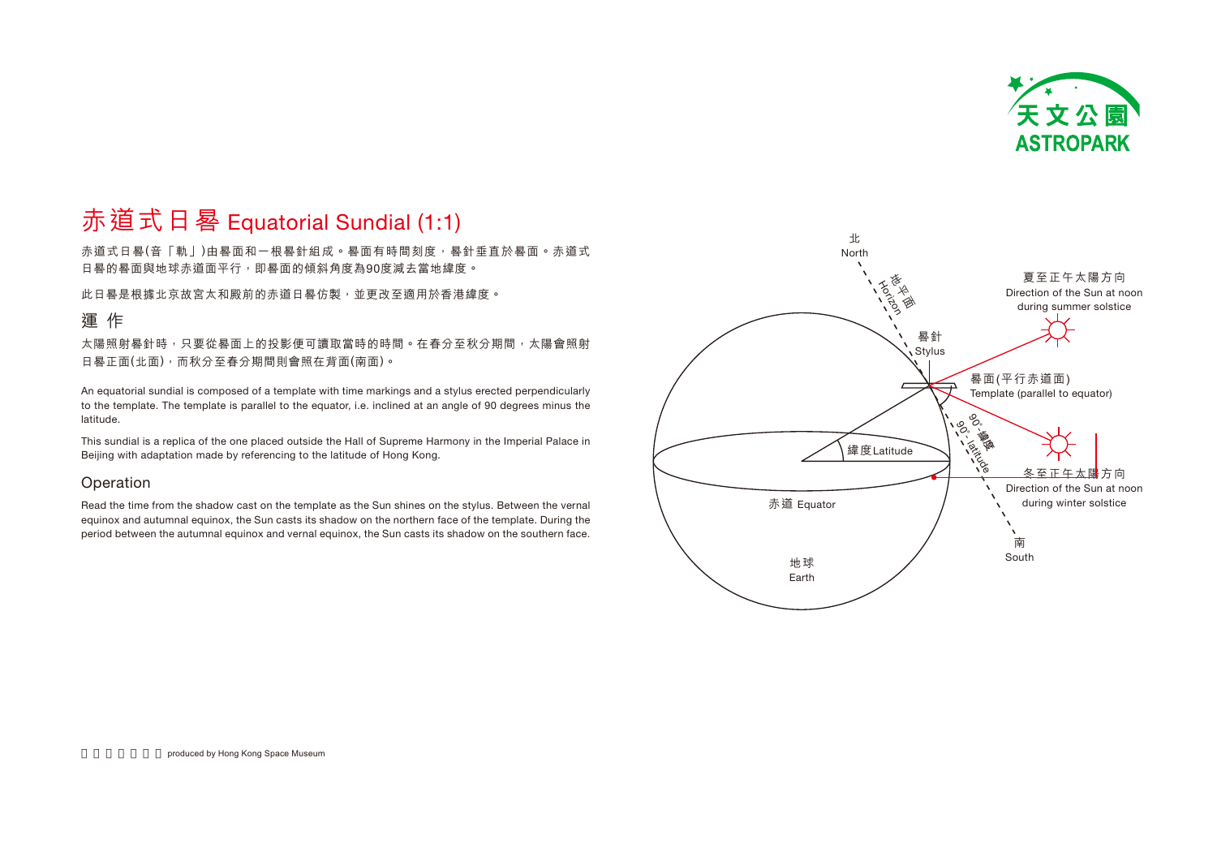

# 赤道式日晷 Equatorial Sundial (1:1)

赤道式日晷(音「軌」)由晷面和一根晷針組成。晷面有時間刻度,晷針垂直於晷面。赤道式 日晷的晷面與地球赤道面平行,即晷面的傾斜角度為90度減去當地緯度。

此日晷是根據北京故宮太和殿前的赤道日晷仿製,並更改至適用於香港緯度。

## 運作

太陽照射晷針時,只要從晷面上的投影便可讀取當時的時間。在春分至秋分期間,太陽會照射 日晷正面(北面),而秋分至春分期間則會照在背面(南面)。

An equatorial sundial is composed of a template with time markings and a stylus erected perpendicularly to the template. The template is parallel to the equator, i.e. inclined at an angle of 90 degrees minus the latitude.

This sundial is a replica of the one placed outside the Hall of Supreme Harmony in the Imperial Palace in Beijing with adaptation made by referencing to the latitude of Hong Kong.

## Operation

Read the time from the shadow cast on the template as the Sun shines on the stylus. Between the vernal equinox and autumnal equinox, the Sun casts its shadow on the northern face of the template. During the period between the autumnal equinox and vernal equinox, the Sun casts its shadow on the southern face.

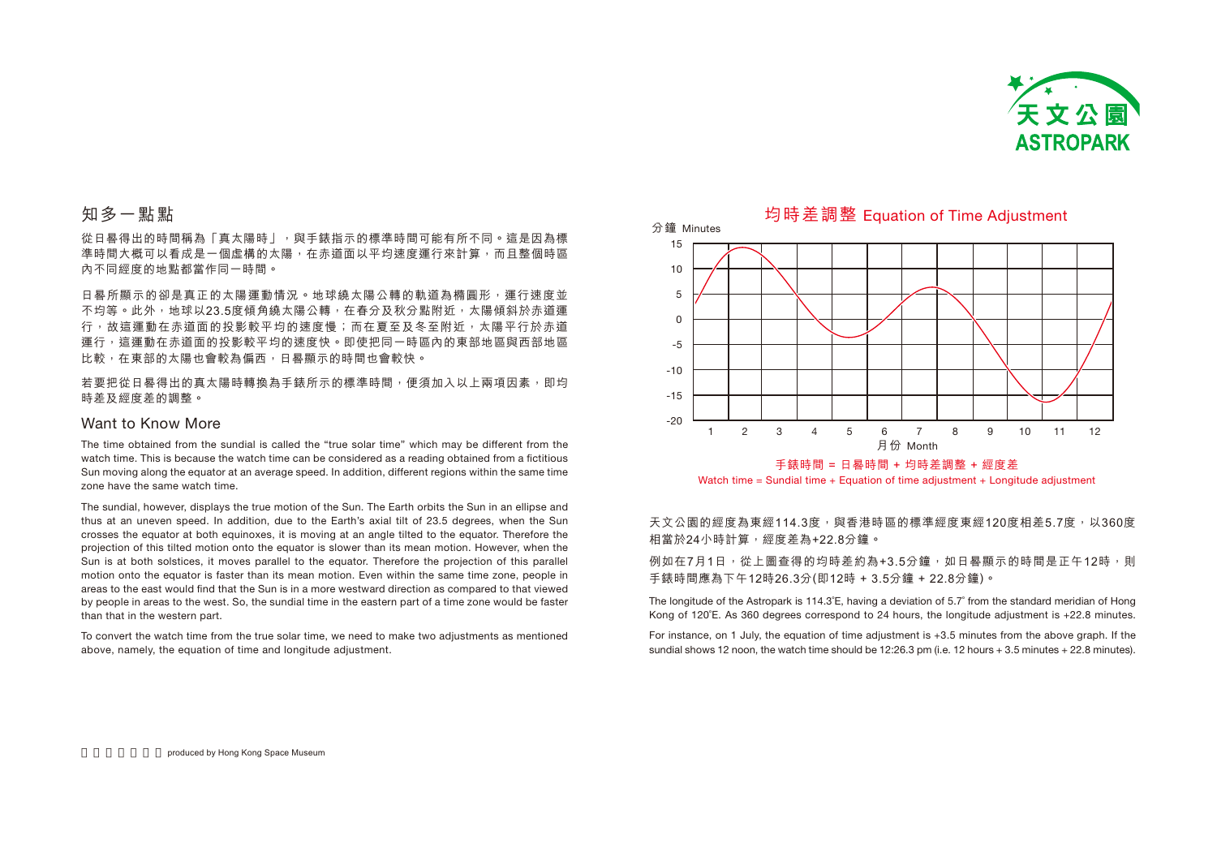

# 知多一點點

從日晷得出的時間稱為「真太陽時」,與手錶指示的標準時間可能有所不同。這是因為標 準時間大概可以看成是一個虚構的太陽,在赤道面以平均速度運行來計算,而且整個時區 內不同經度的地點都當作同一時間。

日晷所顯示的卻是真正的太陽運動情況。地球繞太陽公轉的軌道為橢圓形,運行速度並 不均等。此外,地球以23.5度傾角繞太陽公轉,在春分及秋分點附近,太陽傾斜於赤道運 行,故狺運動在赤道面的投影較平均的速度慢;而在夏至及冬至附近,太陽平行於赤道 運行,這運動在赤道面的投影較平均的速度快。即使把同一時區內的東部地區與西部地區 比較,在東部的太陽也會較為偏西,日晷顯示的時間也會較快。

若要把從日晷得出的真太陽時轉換為手錶所示的標準時間,便須加入以上兩項因素,即均 時差及經度差的調整。

#### Want to Know More

The time obtained from the sundial is called the "true solar time" which may be different from the watch time. This is because the watch time can be considered as a reading obtained from a fictitious Sun moving along the equator at an average speed. In addition, different regions within the same time zone have the same watch time.

The sundial, however, displays the true motion of the Sun. The Earth orbits the Sun in an ellipse and thus at an uneven speed. In addition, due to the Earth's axial tilt of 23.5 degrees, when the Sun crosses the equator at both equinoxes, it is moving at an angle tilted to the equator. Therefore the projection of this tilted motion onto the equator is slower than its mean motion. However, when the Sun is at both solstices, it moves parallel to the equator. Therefore the projection of this parallel motion onto the equator is faster than its mean motion. Even within the same time zone, people in areas to the east would find that the Sun is in a more westward direction as compared to that viewed by people in areas to the west. So, the sundial time in the eastern part of a time zone would be faster than that in the western part.

To convert the watch time from the true solar time, we need to make two adjustments as mentioned above, namely, the equation of time and longitude adjustment.



均時差調整 Equation of Time Adjustment

Watch time = Sundial time + Equation of time adjustment + Longitude adjustment

### 天文公園的經度為東經114.3度,與香港時區的標準經度東經120度相差5.7度,以360度 相當於24小時計算,經度差為+22.8分鐘。

例如在7月1日,從上圖查得的均時差約為+3.5分鐘,如日晷顯示的時間是正午12時,則 手錶時間應為下午12時26.3分(即12時 + 3.5分鐘 + 22.8分鐘)。

The longitude of the Astropark is 114.3˚E, having a deviation of 5.7˚ from the standard meridian of Hong Kong of 120˚E. As 360 degrees correspond to 24 hours, the longitude adjustment is +22.8 minutes.

For instance, on 1 July, the equation of time adjustment is +3.5 minutes from the above graph. If the sundial shows 12 noon, the watch time should be 12:26.3 pm (i.e. 12 hours + 3.5 minutes + 22.8 minutes).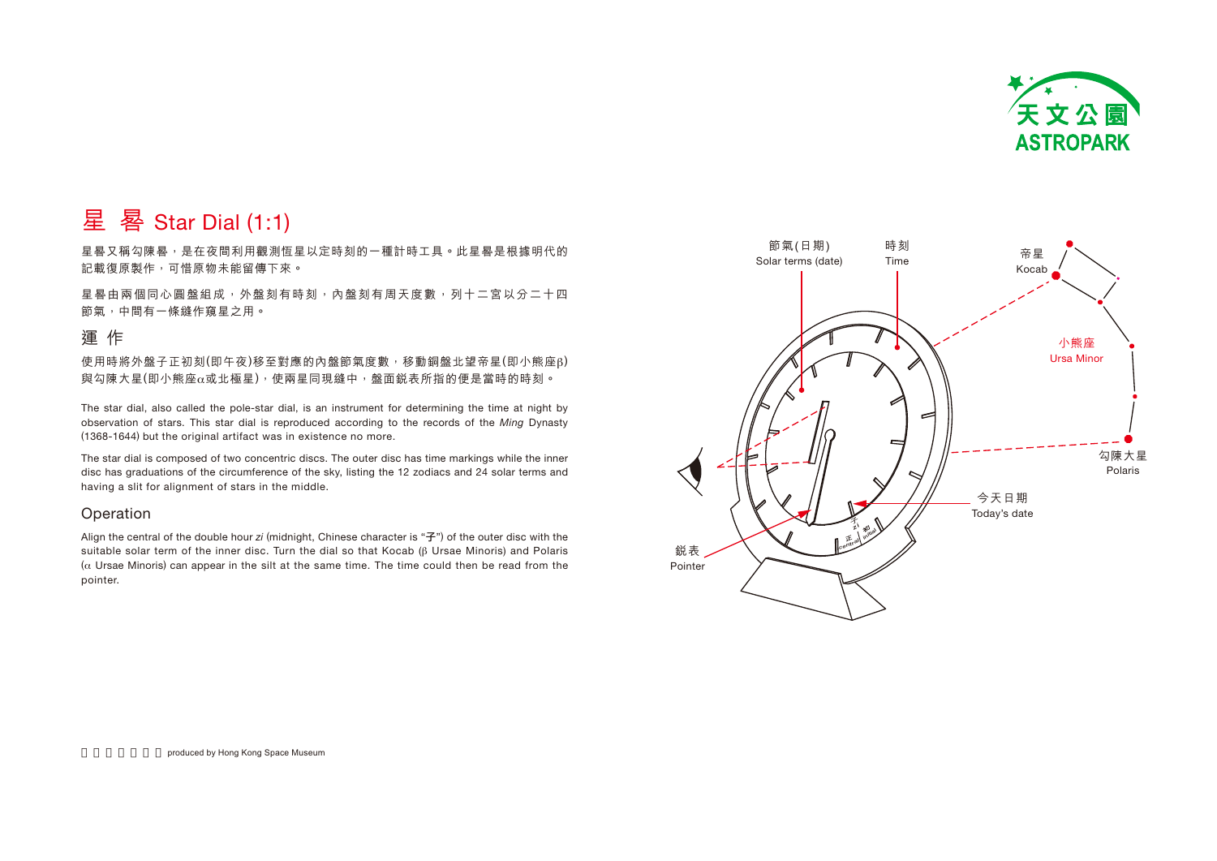

# 星 晷 Star Dial  $(1:1)$

星晷又稱勾陳晷,是在夜間利用觀測恒星以定時刻的一種計時工具。此星晷是根據明代的 記載復原製作,可惜原物未能留傳下來。

星晷由兩個同心圓盤組成, 外盤刻有時刻, 內盤刻有周天度數, 列十二宮以分二十四 節氣,中間有一條縫作窺星之用。

## 運作

使用時將外盤子正初刻(即午夜)移至對應的內盤節氣度數,移動銅盤北望帝星(即小熊座β) 與勾陳大星(即小熊座α或北極星),使兩星同現縫中,盤面鋭表所指的便是當時的時刻。

The star dial, also called the pole-star dial, is an instrument for determining the time at night by observation of stars. This star dial is reproduced according to the records of the Ming Dynasty (1368-1644) but the original artifact was in existence no more.

The star dial is composed of two concentric discs. The outer disc has time markings while the inner disc has graduations of the circumference of the sky, listing the 12 zodiacs and 24 solar terms and having a slit for alignment of stars in the middle.

## **Operation**

Align the central of the double hour zi (midnight, Chinese character is " $\vec{\tau}$ ") of the outer disc with the suitable solar term of the inner disc. Turn the dial so that Kocab ( $\beta$  Ursae Minoris) and Polaris ( $\alpha$  Ursae Minoris) can appear in the silt at the same time. The time could then be read from the pointer.

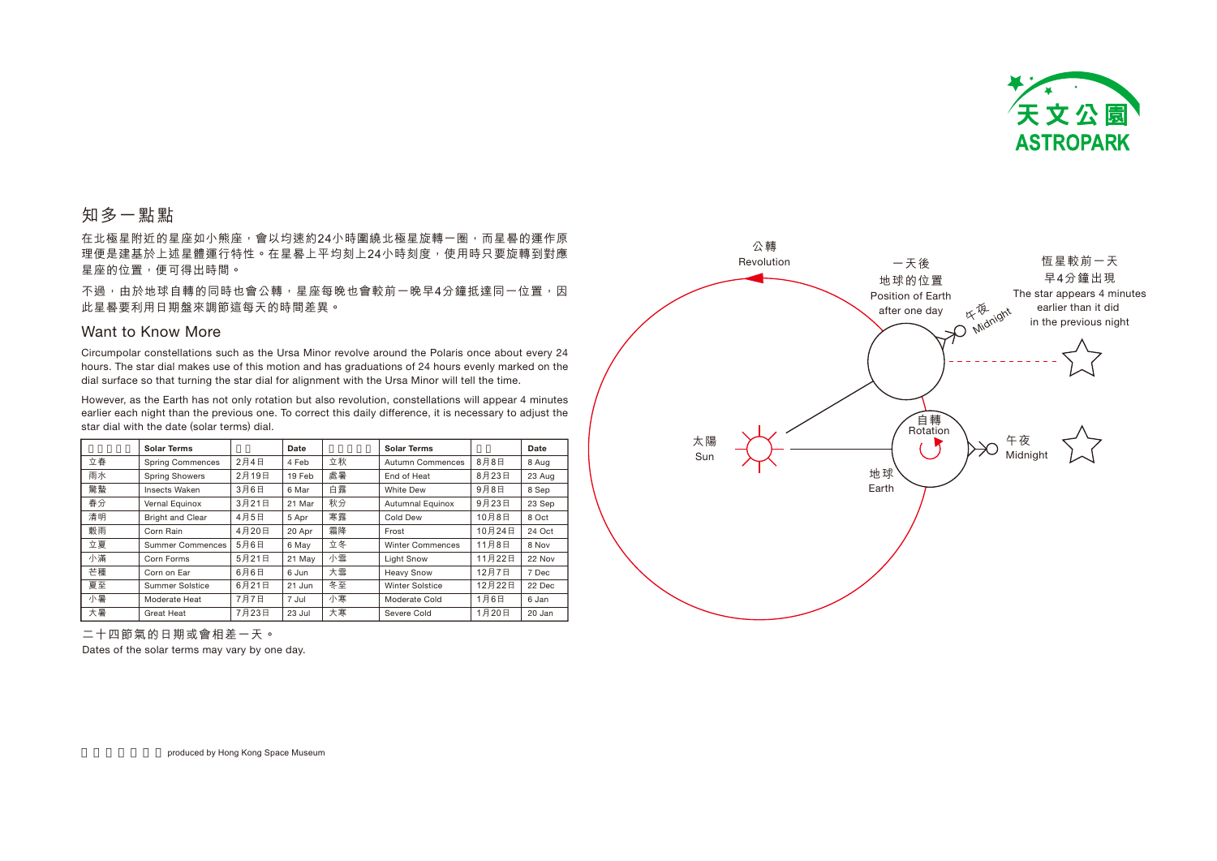

# 知多一點點

在北極星附近的星座如小能座,會以均速約24小時圍繞北極星旋轉一圈,而星晷的運作原 理便是建基於上述星體運行特性。在星晷上平均刻上24小時刻度,使用時只要旋轉到對應 星座的位置,便可得出時間。

不過,由於地球自轉的同時也會公轉,星座每晚也會較前一晚早4分鐘抵達同一位置,因 此星晷要利用日期盤來調節這每天的時間差異。

### Want to Know More

Circumpolar constellations such as the Ursa Minor revolve around the Polaris once about every 24 hours. The star dial makes use of this motion and has graduations of 24 hours evenly marked on the dial surface so that turning the star dial for alignment with the Ursa Minor will tell the time.

However, as the Earth has not only rotation but also revolution, constellations will appear 4 minutes earlier each night than the previous one. To correct this daily difference, it is necessary to adjust the star dial with the date (solar terms) dial.

|    | <b>Solar Terms</b>      |       | Date   |    | <b>Solar Terms</b>      |        | Date   |
|----|-------------------------|-------|--------|----|-------------------------|--------|--------|
| 立春 | <b>Spring Commences</b> | 2月4日  | 4 Feb  | 立秋 | Autumn Commences        | 8月8日   | 8 Aug  |
| 雨水 | <b>Spring Showers</b>   | 2月19日 | 19 Feb | 處暑 | End of Heat             | 8月23日  | 23 Aug |
| 驚蟄 | <b>Insects Waken</b>    | 3月6日  | 6 Mar  | 白露 | <b>White Dew</b>        | 9月8日   | 8 Sep  |
| 春分 | Vernal Equinox          | 3月21日 | 21 Mar | 秋分 | <b>Autumnal Equinox</b> | 9月23日  | 23 Sep |
| 清明 | Bright and Clear        | 4月5日  | 5 Apr  | 寒露 | Cold Dew                | 10月8日  | 8 Oct  |
| 穀雨 | Corn Rain               | 4月20日 | 20 Apr | 霜降 | Frost                   | 10月24日 | 24 Oct |
| 立夏 | <b>Summer Commences</b> | 5月6日  | 6 May  | 立冬 | <b>Winter Commences</b> | 11月8日  | 8 Nov  |
| 小滿 | Corn Forms              | 5月21日 | 21 May | 小雪 | <b>Light Snow</b>       | 11月22日 | 22 Nov |
| 芒種 | Corn on Ear             | 6月6日  | 6 Jun  | 大雪 | <b>Heavy Snow</b>       | 12月7日  | 7 Dec  |
| 夏至 | Summer Solstice         | 6月21日 | 21 Jun | 冬至 | Winter Solstice         | 12月22日 | 22 Dec |
| 小暑 | Moderate Heat           | 7月7日  | 7 Jul  | 小寒 | Moderate Cold           | 1月6日   | 6 Jan  |
| 大暑 | Great Heat              | 7月23日 | 23 Jul | 大寒 | Severe Cold             | 1月20日  | 20 Jan |



二十四節氣的日期或會相差一天。

Dates of the solar terms may vary by one day.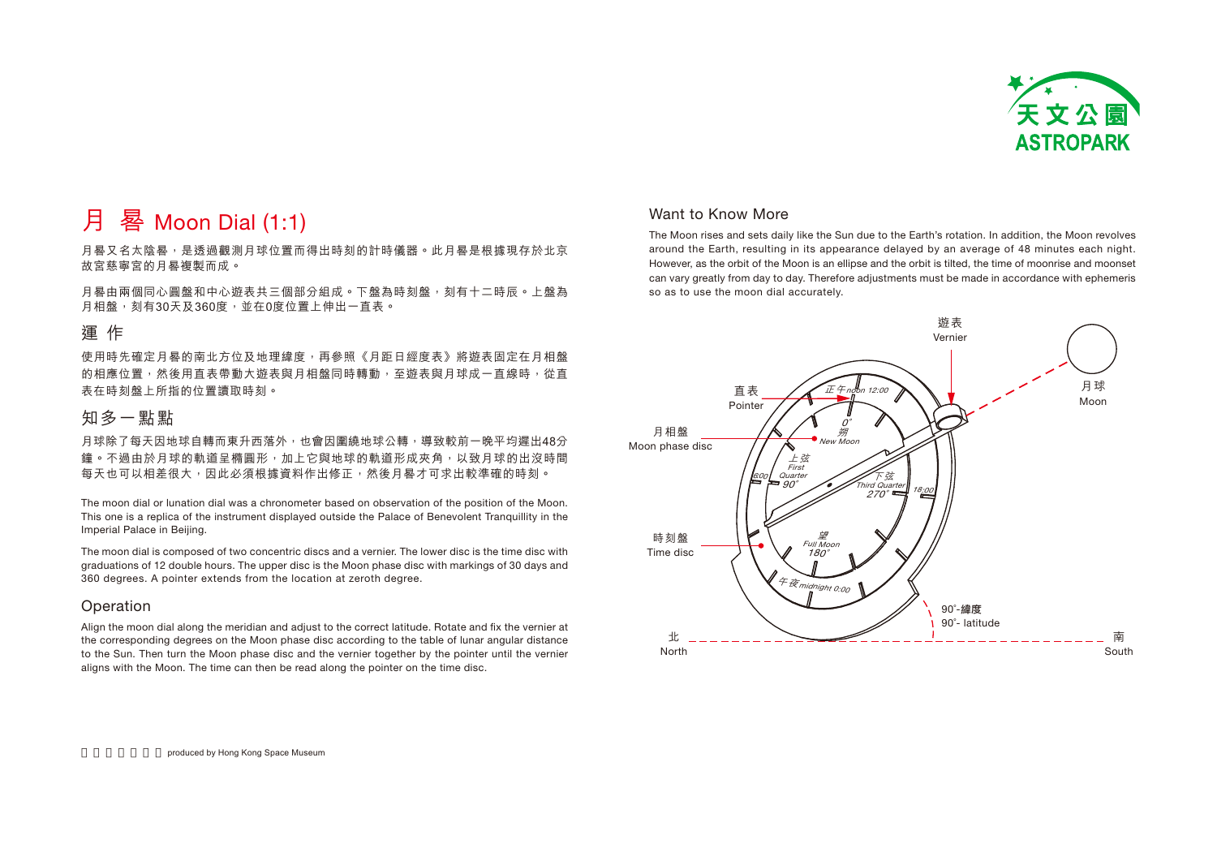

# 月 晷 Moon Dial (1:1)

月晷又名太陰晷,是诱過觀測月球位置而得出時刻的計時儀器。此月晷是根據現存於北京 故宮慈寧宮的月晷複製而成。

月晷由兩個同心圓盤和中心游表共三個部分組成。下盤為時刻盤,刻有十二時辰。上盤為 月相盤,刻有30天及360度,並在0度位置上伸出一直表。

## 運作

使用時先確定月晷的南北方位及地理緯度,再參照《月距日經度表》將遊表固定在月相盤 的相應位置,然後用直表帶動大遊表與月相盤同時轉動,至遊表與月球成一直線時,從直 表在時刻盤上所指的位置讀取時刻。

# 知多一點點

月球除了每天因地球白轉而東升西落外,也會因圍繞地球公轉,導致較前一晚平均遲出48分 鐘。不過由於月球的軌道呈橢圓形, 加上它與地球的軌道形成夾角, 以致月球的出沒時間 每天也可以相差很大,因此必須根據資料作出修正,然後月晷才可求出較準確的時刻。

The moon dial or lunation dial was a chronometer based on observation of the position of the Moon. This one is a replica of the instrument displayed outside the Palace of Benevolent Tranguillity in the Imperial Palace in Beijing.

The moon dial is composed of two concentric discs and a vernier. The lower disc is the time disc with graduations of 12 double hours. The upper disc is the Moon phase disc with markings of 30 days and 360 degrees. A pointer extends from the location at zeroth degree.

### Operation

Align the moon dial along the meridian and adjust to the correct latitude. Rotate and fix the vernier at the corresponding degrees on the Moon phase disc according to the table of lunar angular distance to the Sun. Then turn the Moon phase disc and the vernier together by the pointer until the vernier aligns with the Moon. The time can then be read along the pointer on the time disc.

## Want to Know More

The Moon rises and sets daily like the Sun due to the Earth's rotation. In addition, the Moon revolves around the Earth, resulting in its appearance delayed by an average of 48 minutes each night. However, as the orbit of the Moon is an ellipse and the orbit is tilted, the time of moonrise and moonset can vary greatly from day to day. Therefore adjustments must be made in accordance with ephemeris so as to use the moon dial accurately.

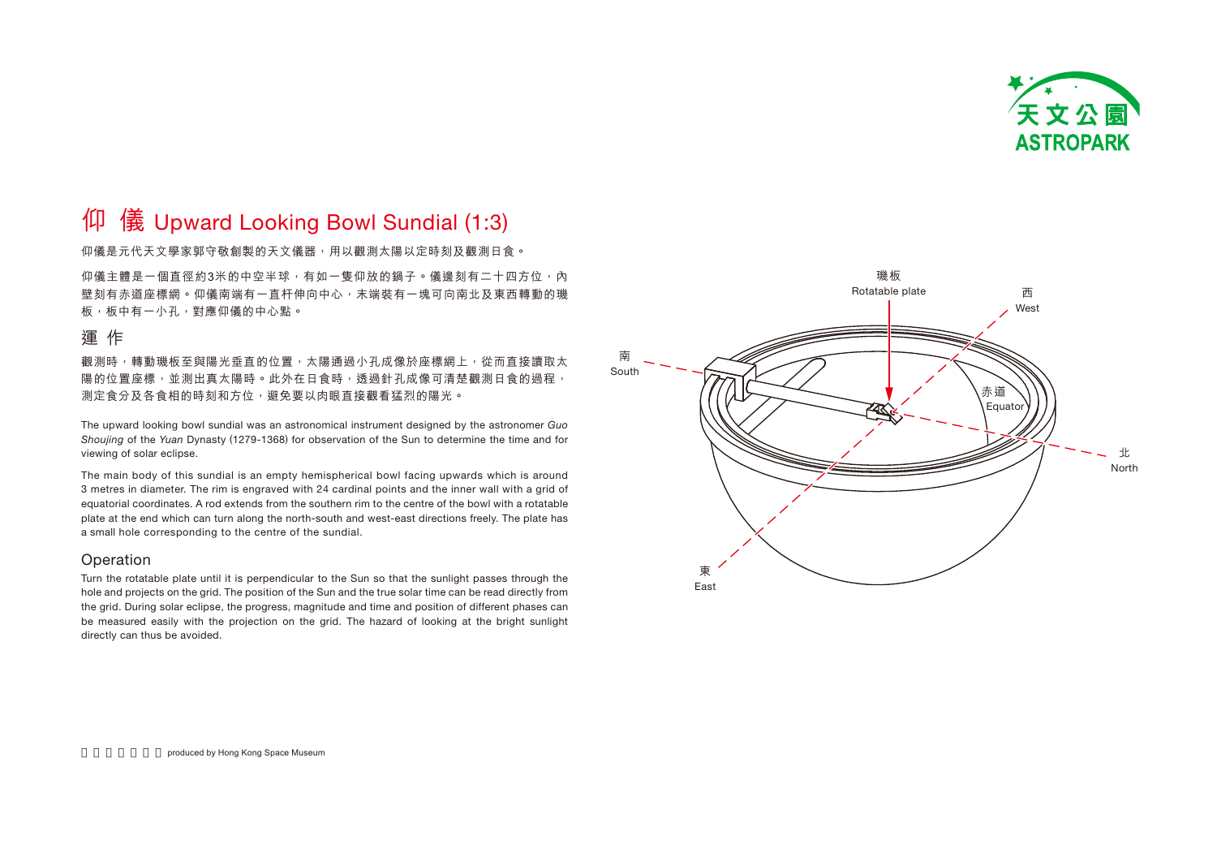

# $\overline{\psi}$  儀 Upward Looking Bowl Sundial (1:3)

仰儀是元代天文學家郭守敬創製的天文儀器,用以觀測太陽以定時刻及觀測日食。

仰儀主體是一個直徑約3米的中空半球, 有如一隻仰放的鍋子。儀邊刻有二十四方位, 內 壁刻有赤道座標網。仰儀南端有一直杆伸向中心,末端裝有一塊可向南北及東西轉動的璣 板,板中有一小孔,對應仰儀的中心點。

## 運作

觀測時,轉動璣板至與陽光垂直的位置,太陽通過小孔成像於座標網上,從而直接讀取太 陽的位置座標,並測出真太陽時。此外在日食時,透過針孔成像可清楚觀測日食的過程, 測定食分及各食相的時刻和方位,避免要以肉眼直接觀看猛烈的陽光。

The upward looking bowl sundial was an astronomical instrument designed by the astronomer Guo Shoujing of the Yuan Dynasty (1279-1368) for observation of the Sun to determine the time and for viewing of solar eclipse.

The main body of this sundial is an empty hemispherical bowl facing upwards which is around 3 metres in diameter. The rim is engraved with 24 cardinal points and the inner wall with a grid of equatorial coordinates. A rod extends from the southern rim to the centre of the bowl with a rotatable plate at the end which can turn along the north-south and west-east directions freely. The plate has a small hole corresponding to the centre of the sundial.

## Operation

Turn the rotatable plate until it is perpendicular to the Sun so that the sunlight passes through the hole and projects on the grid. The position of the Sun and the true solar time can be read directly from the grid. During solar eclipse, the progress, magnitude and time and position of different phases can be measured easily with the projection on the grid. The hazard of looking at the bright sunlight directly can thus be avoided.

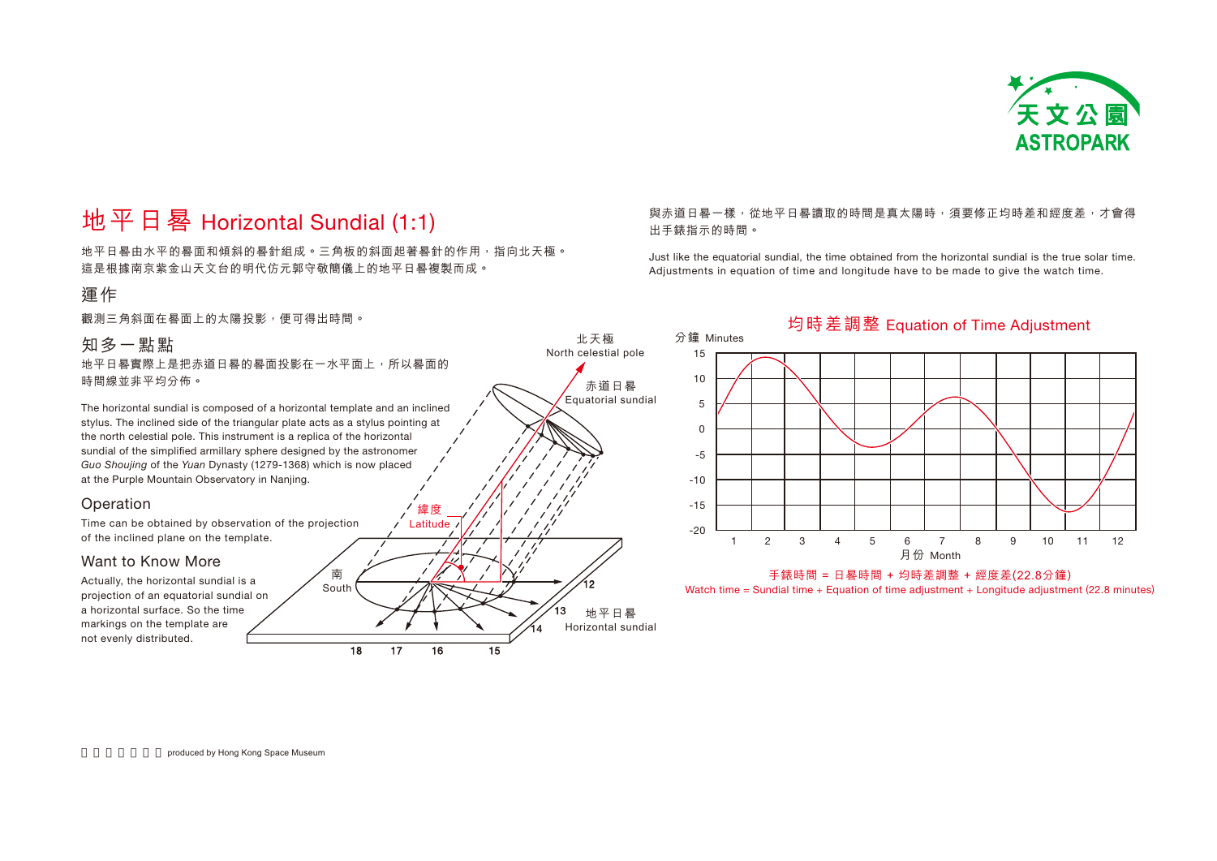

# 地平日晷 Horizontal Sundial (1:1)

地平日晷由水平的晷面和傾斜的晷針組成。三角板的斜面起著晷針的作用,指向北天極。 這是根據南京紫金山天文台的明代仿元郭守敬簡儀上的地平日晷複製而成。

## 運作

觀測三角斜面在晷面上的太陽投影,便可得出時間。

## 知多一點點

地平日晷實際上是把赤道日晷的晷面投影在一水平面上,所以晷面的 時間線並非平均分佈。

The horizontal sundial is composed of a horizontal template and an inclined stylus. The inclined side of the triangular plate acts as a stylus pointing at the north celestial pole. This instrument is a replica of the horizontal sundial of the simplified armillary sphere designed by the astronomer Guo Shoujing of the Yuan Dynasty (1279-1368) which is now placed at the Purple Mountain Observatory in Nanjing.

### Operation

Time can be obtained by observation of the projection of the inclined plane on the template.

## Want to Know More

Actually, the horizontal sundial is a projection of an equatorial sundial on a horizontal surface. So the time markings on the template are not evenly distributed.



## 與赤道日晷一樣,從地平日晷讀取的時間是真太陽時,須要修正均時差和經度差,才會得 出手錶指示的時間。

Just like the equatorial sundial, the time obtained from the horizontal sundial is the true solar time. Adjustments in equation of time and longitude have to be made to give the watch time.

## 分鐘 Minutes 月份 Month 均時差調整 Equation of Time Adjustment 1 215105 $\mathbf{0}$ -5-10 -15-203 4 5 6 7 8 9 10 11 12手錶時間 = 日晷時間 + 均時差調整 + 經度差(22.8分鐘)

Watch time = Sundial time + Equation of time adjustment + Longitude adjustment (22.8 minutes)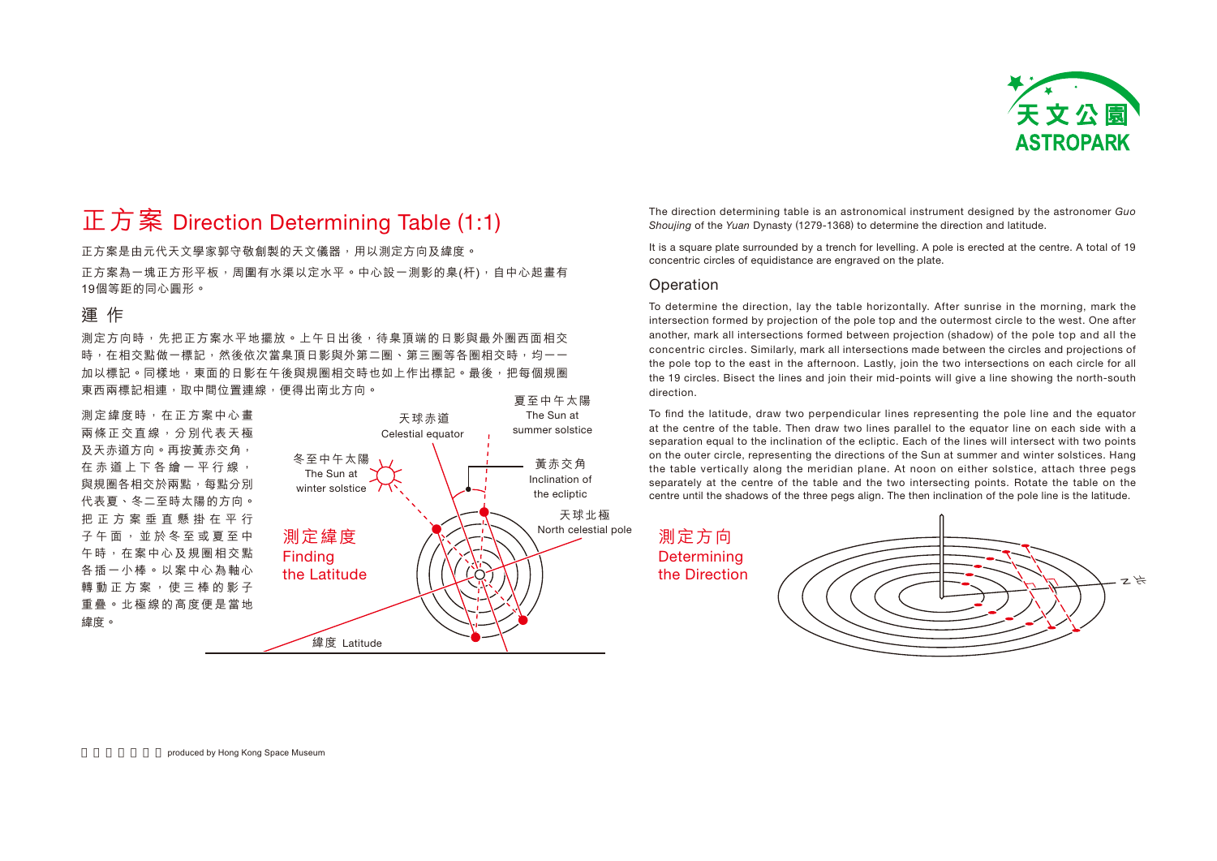

# 正方案 Direction Determining Table  $(1:1)$

正方案是由元代天文學家郭守敬創製的天文儀器,用以測定方向及緯度。 正方案為一塊正方形平板,周圍有水渠以定水平。中心設一測影的臬(杆),自中心起畫有 19個等距的同心圓形。

## 渾 作

測定方向時,先把正方案水平地擺放。上午日出後,待臬頂端的日影與最外圈西面相交 時,在相交點做一標記,然後依次當臬頂日影與外第二圈、第三圈等各圈相交時,均一一 加以標記。同樣地,東面的日影在午後與規圈相交時也如上作出標記。最後,把每個規圈 東西兩標記相連,取中間位置連線,便得出南北方向。

**測定**緯度時, 在正方案中心畫 兩條正交直線,分別代表天極 及天赤道方向。再按黃赤交角, 在 赤 道 上 下 各 繪 一 平 行 線 , 與規圈各相交於兩點, 每點分別 代表夏、冬二至時太陽的方向。 把 正 方 案 垂 直 懸 掛 在 平 行 子 午 面 , 並 於 冬 至 或 夏 至 中 午時,在案中心及規圈相交點 各插一小棒。以案中心為軸心 轉 動 正 方 案 , 使 三 棒 的 影 子 重疊。北極線的高度便是當地 緯度。



The direction determining table is an astronomical instrument designed by the astronomer Guo Shoujing of the Yuan Dynasty (1279-1368) to determine the direction and latitude.

It is a square plate surrounded by a trench for levelling. A pole is erected at the centre. A total of 19 concentric circles of equidistance are engraved on the plate.

#### **Operation**

To determine the direction, lay the table horizontally. After sunrise in the morning, mark the intersection formed by projection of the pole top and the outermost circle to the west. One after another, mark all intersections formed between projection (shadow) of the pole top and all the concentric circles. Similarly, mark all intersections made between the circles and projections of the pole top to the east in the afternoon. Lastly, join the two intersections on each circle for all the 19 circles. Bisect the lines and join their mid-points will give a line showing the north-south direction.

To find the latitude, draw two perpendicular lines representing the pole line and the equator at the centre of the table. Then draw two lines parallel to the equator line on each side with a separation equal to the inclination of the ecliptic. Each of the lines will intersect with two points on the outer circle, representing the directions of the Sun at summer and winter solstices. Hang the table vertically along the meridian plane. At noon on either solstice, attach three pegs separately at the centre of the table and the two intersecting points. Rotate the table on the centre until the shadows of the three pegs align. The then inclination of the pole line is the latitude.

測定方向 **Determining** the Direction